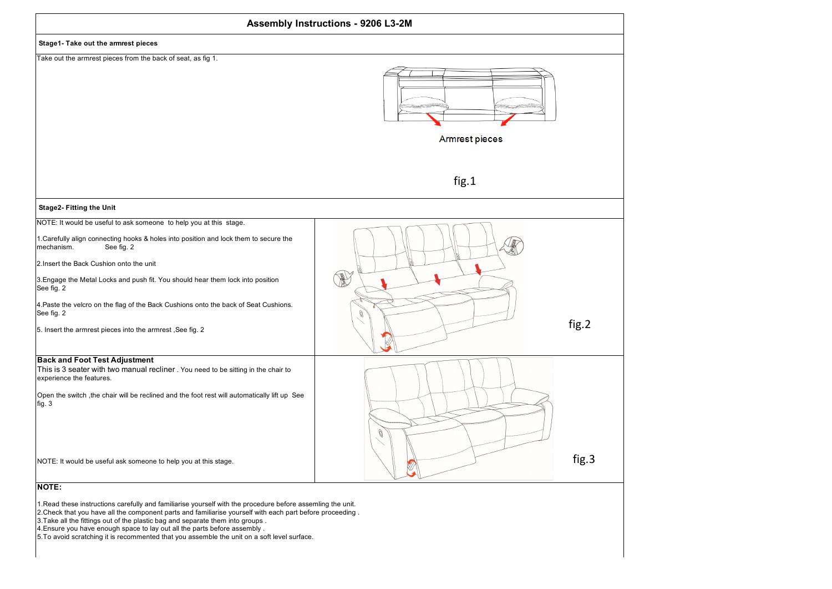

1.Read these instructions carefully and familiarise yourself with the procedure before assemling the unit.

2.Check that you have all the component parts and familiarise yourself with each part before proceeding .

3.Take all the fittings out of the plastic bag and separate them into groups .

4.Ensure you have enough space to lay out all the parts before assembly .

5.To avoid scratching it is recommented that you assemble the unit on a soft level surface.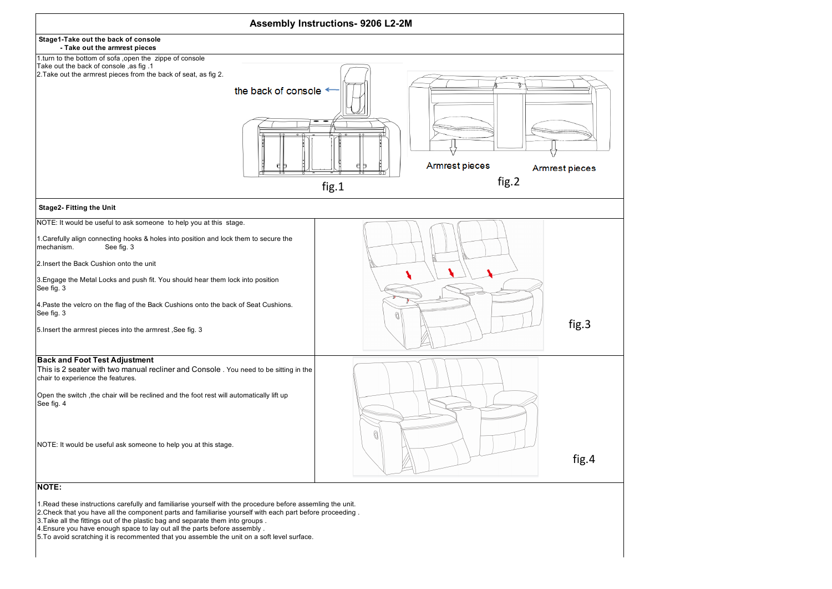

1.Read these instructions carefully and familiarise yourself with the procedure before assemling the unit.

2.Check that you have all the component parts and familiarise yourself with each part before proceeding .

3.Take all the fittings out of the plastic bag and separate them into groups .

4. Ensure you have enough space to lay out all the parts before assembly .

5.To avoid scratching it is recommented that you assemble the unit on a soft level surface.